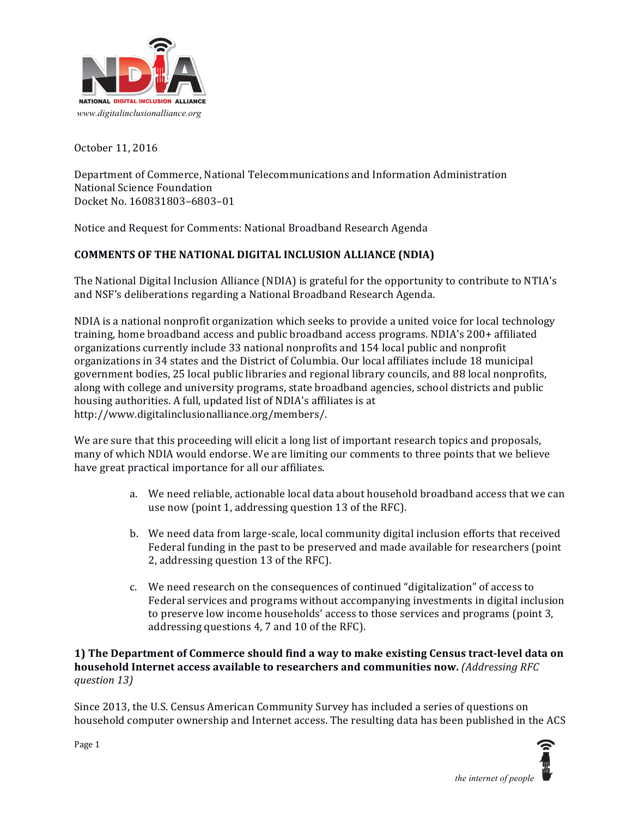

October 11, 2016

Department of Commerce, National Telecommunications and Information Administration National Science Foundation Docket No. 160831803–6803–01 

Notice and Request for Comments: National Broadband Research Agenda

## **COMMENTS OF THE NATIONAL DIGITAL INCLUSION ALLIANCE (NDIA)**

The National Digital Inclusion Alliance (NDIA) is grateful for the opportunity to contribute to NTIA's and NSF's deliberations regarding a National Broadband Research Agenda.

NDIA is a national nonprofit organization which seeks to provide a united voice for local technology training, home broadband access and public broadband access programs. NDIA's 200+ affiliated organizations currently include 33 national nonprofits and 154 local public and nonprofit organizations in 34 states and the District of Columbia. Our local affiliates include 18 municipal government bodies, 25 local public libraries and regional library councils, and 88 local nonprofits, along with college and university programs, state broadband agencies, school districts and public housing authorities. A full, updated list of NDIA's affiliates is at http://www.digitalinclusionalliance.org/members/.

We are sure that this proceeding will elicit a long list of important research topics and proposals, many of which NDIA would endorse. We are limiting our comments to three points that we believe have great practical importance for all our affiliates.

- a. We need reliable, actionable local data about household broadband access that we can use now (point 1, addressing question 13 of the RFC).
- b. We need data from large-scale, local community digital inclusion efforts that received Federal funding in the past to be preserved and made available for researchers (point 2, addressing question 13 of the RFC).
- c. We need research on the consequences of continued "digitalization" of access to Federal services and programs without accompanying investments in digital inclusion to preserve low income households' access to those services and programs (point 3, addressing questions 4, 7 and 10 of the RFC).

## **1)** The Department of Commerce should find a way to make existing Census tract-level data on **household Internet access available to researchers and communities now.** *(Addressing RFC question 13)*

Since 2013, the U.S. Census American Community Survey has included a series of questions on household computer ownership and Internet access. The resulting data has been published in the ACS



Page 1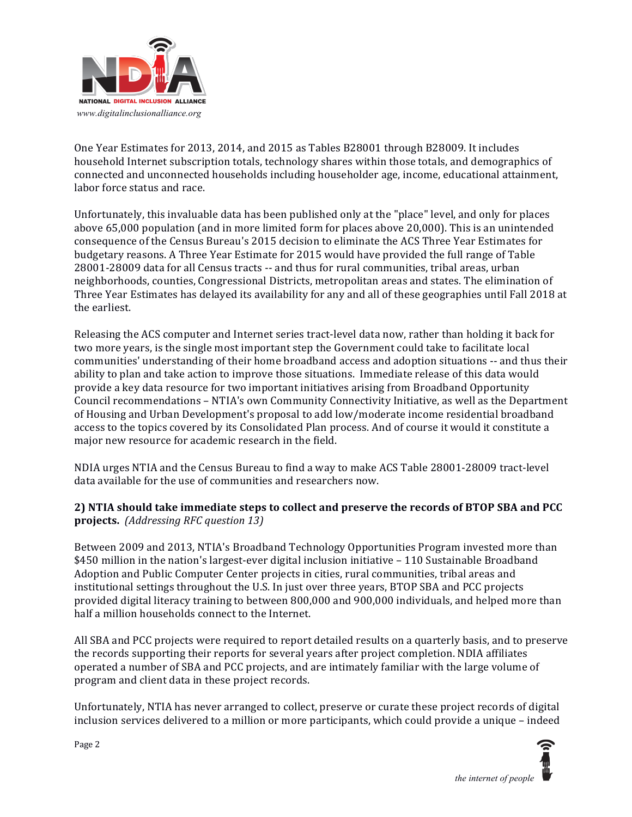

One Year Estimates for 2013, 2014, and 2015 as Tables B28001 through B28009. It includes household Internet subscription totals, technology shares within those totals, and demographics of connected and unconnected households including householder age, income, educational attainment, labor force status and race.

Unfortunately, this invaluable data has been published only at the "place" level, and only for places above 65,000 population (and in more limited form for places above 20,000). This is an unintended consequence of the Census Bureau's 2015 decision to eliminate the ACS Three Year Estimates for budgetary reasons. A Three Year Estimate for 2015 would have provided the full range of Table 28001-28009 data for all Census tracts -- and thus for rural communities, tribal areas, urban neighborhoods, counties, Congressional Districts, metropolitan areas and states. The elimination of Three Year Estimates has delayed its availability for any and all of these geographies until Fall 2018 at the earliest.

Releasing the ACS computer and Internet series tract-level data now, rather than holding it back for two more years, is the single most important step the Government could take to facilitate local communities' understanding of their home broadband access and adoption situations -- and thus their ability to plan and take action to improve those situations. Immediate release of this data would provide a key data resource for two important initiatives arising from Broadband Opportunity Council recommendations - NTIA's own Community Connectivity Initiative, as well as the Department of Housing and Urban Development's proposal to add low/moderate income residential broadband access to the topics covered by its Consolidated Plan process. And of course it would it constitute a major new resource for academic research in the field.

NDIA urges NTIA and the Census Bureau to find a way to make ACS Table 28001-28009 tract-level data available for the use of communities and researchers now.

## **2)** NTIA should take immediate steps to collect and preserve the records of BTOP SBA and PCC **projects.** *(Addressing RFC question 13)*

Between 2009 and 2013, NTIA's Broadband Technology Opportunities Program invested more than  $$450$  million in the nation's largest-ever digital inclusion initiative  $-110$  Sustainable Broadband Adoption and Public Computer Center projects in cities, rural communities, tribal areas and institutional settings throughout the U.S. In just over three years, BTOP SBA and PCC projects provided digital literacy training to between 800,000 and 900,000 individuals, and helped more than half a million households connect to the Internet.

All SBA and PCC projects were required to report detailed results on a quarterly basis, and to preserve the records supporting their reports for several years after project completion. NDIA affiliates operated a number of SBA and PCC projects, and are intimately familiar with the large volume of program and client data in these project records.

Unfortunately, NTIA has never arranged to collect, preserve or curate these project records of digital inclusion services delivered to a million or more participants, which could provide a unique - indeed



Page 2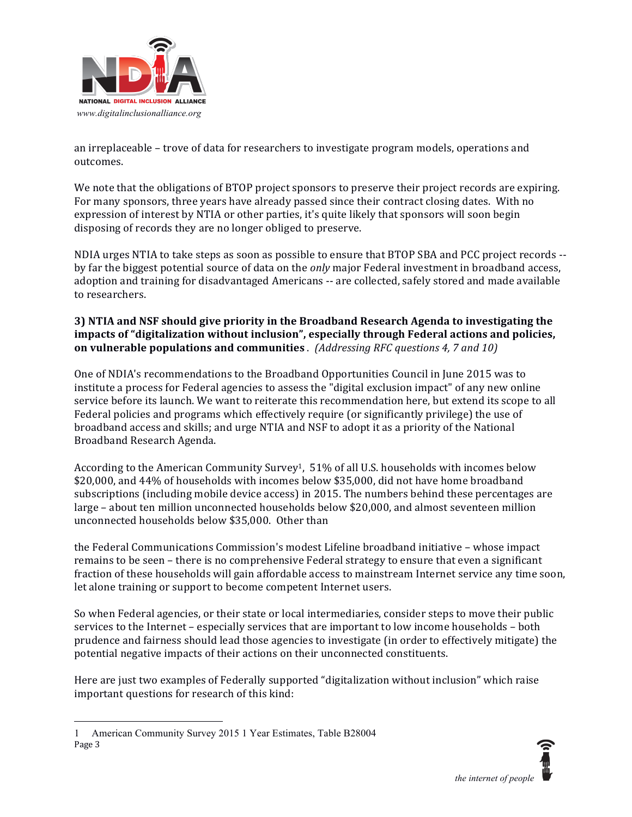

an irreplaceable - trove of data for researchers to investigate program models, operations and outcomes.

We note that the obligations of BTOP project sponsors to preserve their project records are expiring. For many sponsors, three years have already passed since their contract closing dates. With no expression of interest by NTIA or other parties, it's quite likely that sponsors will soon begin disposing of records they are no longer obliged to preserve.

NDIA urges NTIA to take steps as soon as possible to ensure that BTOP SBA and PCC project records -by far the biggest potential source of data on the *only* major Federal investment in broadband access, adoption and training for disadvantaged Americans -- are collected, safely stored and made available to researchers.

## **3)** NTIA and NSF should give priority in the Broadband Research Agenda to investigating the impacts of "digitalization without inclusion", especially through Federal actions and policies, **on vulnerable populations and communities** . (Addressing RFC questions 4, 7 and 10)

One of NDIA's recommendations to the Broadband Opportunities Council in June 2015 was to institute a process for Federal agencies to assess the "digital exclusion impact" of any new online service before its launch. We want to reiterate this recommendation here, but extend its scope to all Federal policies and programs which effectively require (or significantly privilege) the use of broadband access and skills; and urge NTIA and NSF to adopt it as a priority of the National Broadband Research Agenda.

According to the American Community Survey<sup>1</sup>,  $51\%$  of all U.S. households with incomes below \$20,000, and 44% of households with incomes below \$35,000, did not have home broadband subscriptions (including mobile device access) in 2015. The numbers behind these percentages are  $large - about ten million unconnected households below $20,000, and almost seventeen million$ unconnected households below \$35,000. Other than

the Federal Communications Commission's modest Lifeline broadband initiative - whose impact remains to be seen – there is no comprehensive Federal strategy to ensure that even a significant fraction of these households will gain affordable access to mainstream Internet service any time soon, let alone training or support to become competent Internet users.

So when Federal agencies, or their state or local intermediaries, consider steps to move their public services to the Internet – especially services that are important to low income households – both prudence and fairness should lead those agencies to investigate (in order to effectively mitigate) the potential negative impacts of their actions on their unconnected constituents.

Here are just two examples of Federally supported "digitalization without inclusion" which raise important questions for research of this kind:



Page 3  $\overline{a}$ 1 American Community Survey 2015 1 Year Estimates, Table B28004